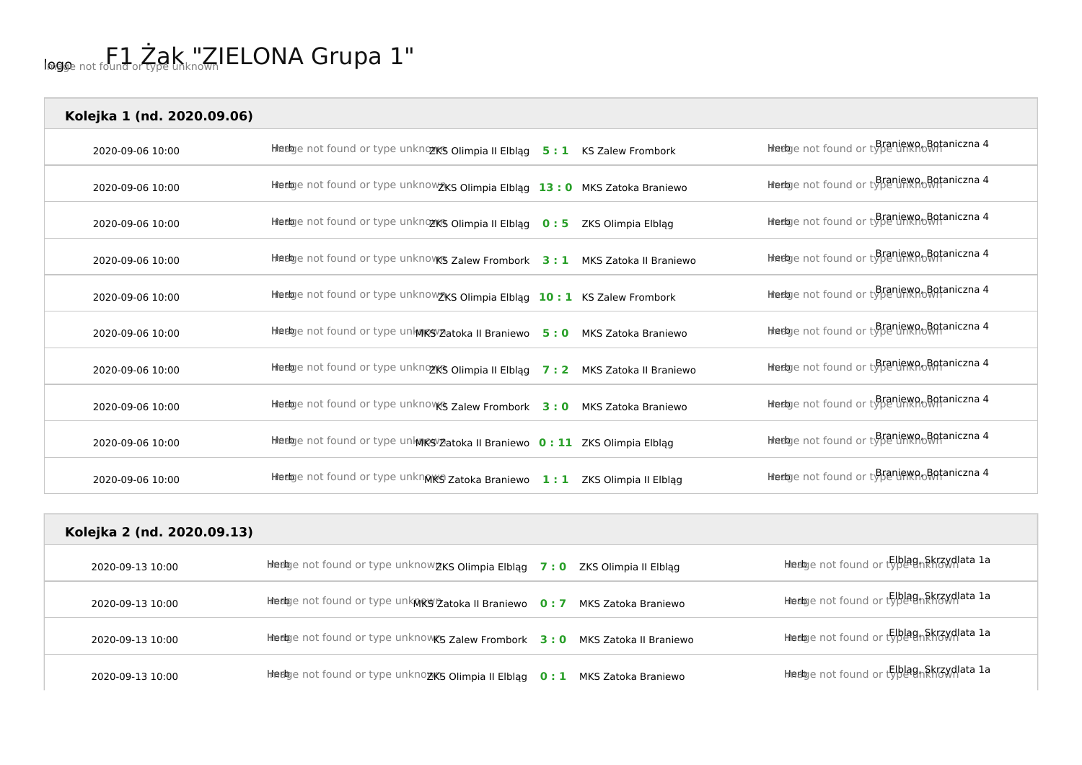| Kolejka 1 (nd. 2020.09.06) |                                                                                 |                                                |
|----------------------------|---------------------------------------------------------------------------------|------------------------------------------------|
| 2020-09-06 10:00           | Hierbye not found or type unknozK's Olimpia II Elbląg 5:1 KS Zalew Frombork     | Heelge not found or type linknown aniczna 4    |
| 2020-09-06 10:00           | Heebye not found or type unknowzKS Olimpia Elbląg 13:0 MKS Zatoka Braniewo      | Heebye not found or type liming Botaniczna 4   |
| 2020-09-06 10:00           | Heelge not found or type unknozws Olimpia II Elbląg 0:5<br>ZKS Olimpia Elblag   | Heelge not found or type limxno Botaniczna 4   |
| 2020-09-06 10:00           | Heeloge not found or type unknoves Zalew Frombork 3: 1 MKS Zatoka II Braniewo   | Heelge not found or type unknown aniczna 4     |
| 2020-09-06 10:00           | Heetoge not found or type unknow txs Olimpia Elbląg 10:1 KS Zalew Frombork      | Heelge not found or type liming Botaniczna 4   |
| 2020-09-06 10:00           | Heetoge not found or type unknow Patoka II Braniewo 5: 0 MKS Zatoka Braniewo    | Heebye not found or type limit no Botaniczna 4 |
| 2020-09-06 10:00           | Heelge not found or type unknozK's Olimpia II Elbląg 7:2 MKS Zatoka II Braniewo | Heeloge not found or type ninknothaniczna 4    |
| 2020-09-06 10:00           | Heelige not found or type unknovk's Zalew Frombork 3:0 MKS Zatoka Braniewo      | Heelge not found or type limxno Botaniczna 4   |
| 2020-09-06 10:00           | Heeloge not found or type unknesveatoka II Braniewo 0: 11 ZKS Olimpia Elbląg    | Heebye not found or type unknown aniczna 4     |
| 2020-09-06 10:00           | Heetoge not found or type unknMKS Zatoka Braniewo 1: 1 ZKS Olimpia II Elbląg    | Heelge not found or type limxno Botaniczna 4   |

| Kolejka 2 (nd. 2020.09.13) |                                                                              |                                           |
|----------------------------|------------------------------------------------------------------------------|-------------------------------------------|
| 2020-09-13 10:00           | Hiedge not found or type unknow ZKS Olimpia Elbląg 7:0 ZKS Olimpia II Elbląg | Hiedge not found or type gn&krzydlata 1a  |
| 2020-09-13 10:00           | Heelge not found or type unknes Zatoka II Braniewo 0:7 MKS Zatoka Braniewo   | hhedge not found or typegn&krzydlata 1a   |
| 2020-09-13 10:00           | Hedge not found or type unknowKS Zalew Frombork 3:0 MKS Zatoka II Braniewo   | Hiedge not found or type an Skrzydlata 1a |
| 2020-09-13 10:00           | Hiedge not found or type unknozKS Olimpia II Elbląg 0:1 MKS Zatoka Braniewo  | Hiedoje not found or type gn&krzydlata 1a |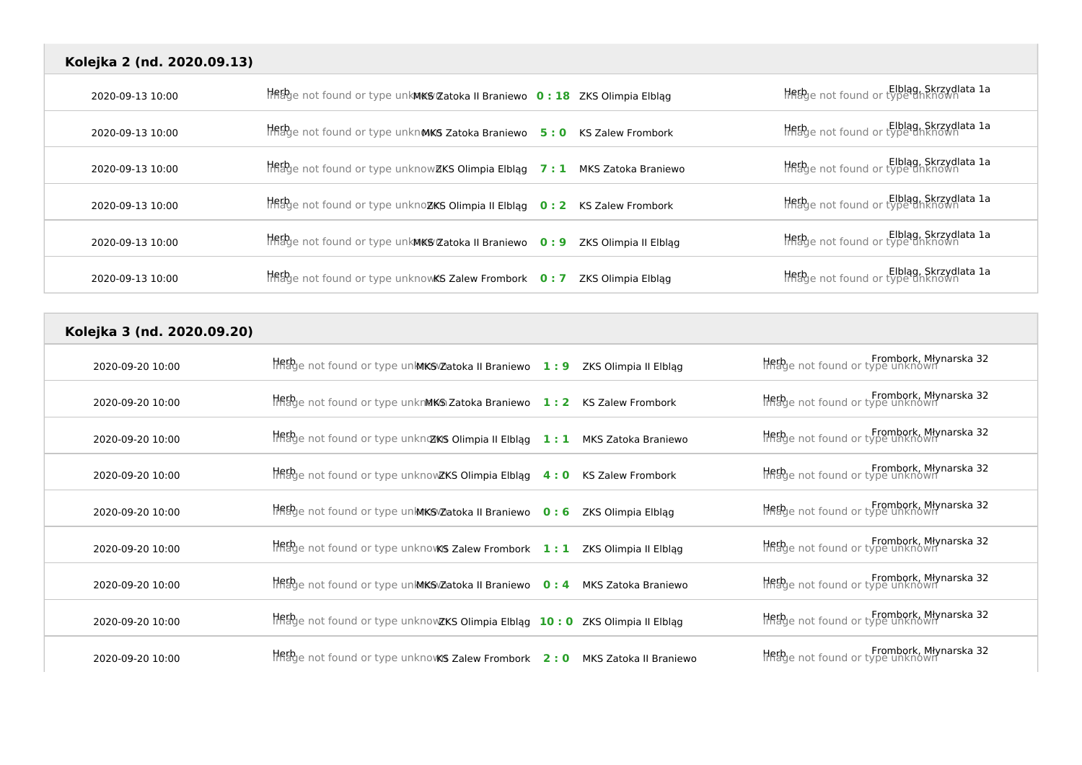| Kolejka 2 (nd. 2020.09.13) |                                                                                         |                                                             |
|----------------------------|-----------------------------------------------------------------------------------------|-------------------------------------------------------------|
| 2020-09-13 10:00           | Hetbje not found or type unkWKS Zatoka II Braniewo 0: 18 ZKS Olimpia Elbląg             | Elblag, Skrzydlata 1a<br>Helblag, Skrzydlata 1a             |
| 2020-09-13 10:00           | HRED enot found or type unknMKS Zatoka Braniewo 5:0 KS Zalew Frombork                   | Elblag, Skrzydlata 1a                                       |
| 2020-09-13 10:00           | $H$ and found or type unknow ZKS Olimpia Elbląg 7 : 1 MKS Zatoka Braniewo               | Elblag, Skrzydlata 1a                                       |
| 2020-09-13 10:00           | $\frac{1}{2}$ and found or type unknozKS Olimpia II Elbląg 0:2 KS Zalew Frombork        | Elblag, Skrzydlata 1a                                       |
| 2020-09-13 10:00           | Hetbye not found or type unkMKS Zatoka II Braniewo 0:9 ZKS Olimpia II Elbląg            | Elblag, Skrzydlata 1a<br>Helblag, Skrzydlata 1a             |
| 2020-09-13 10:00           | $H$ Rage not found or type unknowKS Zalew Frombork $\,$ 0 : 7 $\,$ ZKS Olimpia Elbląg   | Elblag, Skrzydlata 1a<br>Helbye not found or type unknown   |
| Kolejka 3 (nd. 2020.09.20) |                                                                                         |                                                             |
| 2020-09-20 10:00           | $\frac{1}{2}$ and found or type university atoka II Braniewo 1: 9 ZKS Olimpia II Elblag | Frombork, Młynarska 32<br>Helbe not found or type unknown   |
| 2020-09-20 10:00           | $\frac{1}{2}$ and found or type unknMKS Zatoka Braniewo 1: 2 KS Zalew Frombork          | Frombork, Młynarska 32<br>Histoge not found or type unknown |
| 2020-09-20 10:00           | $\frac{1}{2}$ and found or type unkno XKS Olimpia II Elbląg 1:1 MKS Zatoka Braniewo     | Frombork, Młynarska 32<br>Helbe not found or type unknown   |
| 2020-09-20 10:00           | $H$ ff $B$ ge not found or type unknowZKS Olimpia Elbląg 4:0 KS Zalew Frombork          | Frombork, Mlynarska 32<br>Helbye not found or type unknown  |
| 2020-09-20 10:00           | TREPge not found or type unlMKSvZatoka II Braniewo 0: 6 ZKS Olimpia Elbląg              | Hebge not found or type unknown                             |
| 2020-09-20 10:00           | $H$ Figge not found or type unknovKS Zalew Frombork $1:1$ ZKS Olimpia II Elbląg         | Frombork, Młynarska 32<br>Histoge not found or type unknown |
| 2020-09-20 10:00           | $\frac{1}{2}$ and found or type universigate in Braniewo 0:4 MKS Zatoka Braniewo        | Frombork, Młynarska 32                                      |
| 2020-09-20 10:00           | Hetbye not found or type unknowZKS Olimpia Elbląg 10: 0 ZKS Olimpia II Elbląg           | Frombork, Młynarska 32<br>Helbe not found or type unknown   |
| 2020-09-20 10:00           | $H$ Rage not found or type unknows Zalew Frombork 2:0 MKS Zatoka II Braniewo            | Frombork, Mlynarska 32                                      |